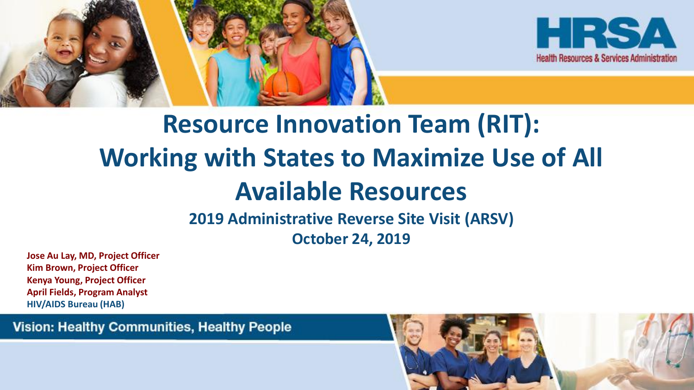



# **Resource Innovation Team (RIT): Working with States to Maximize Use of All Available Resources**

**2019 Administrative Reverse Site Visit (ARSV) October 24, 2019** 

**Jose Au Lay, MD, Project Officer Kim Brown, Project Officer Kenya Young, Project Officer April Fields, Program Analyst HIV/AIDS Bureau (HAB)**

**Vision: Healthy Communities, Healthy People** 

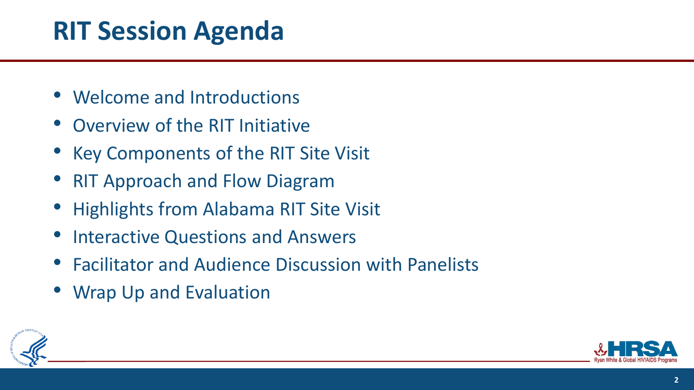# **RIT Session Agenda**

- Welcome and Introductions
- Overview of the RIT Initiative
- Key Components of the RIT Site Visit
- **RIT Approach and Flow Diagram**
- Highlights from Alabama RIT Site Visit
- Interactive Questions and Answers
- Facilitator and Audience Discussion with Panelists
- Wrap Up and Evaluation



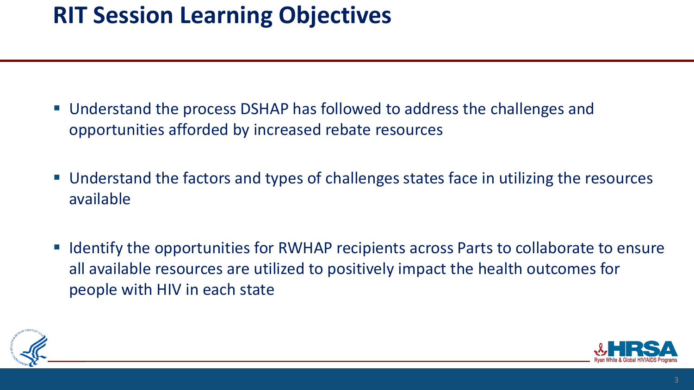# **RIT Session Learning Objectives**

- Understand the process DSHAP has followed to address the challenges and opportunities afforded by increased rebate resources
- Understand the factors and types of challenges states face in utilizing the resources available
- **E** Identify the opportunities for RWHAP recipients across Parts to collaborate to ensure all available resources are utilized to positively impact the health outcomes for people with HIV in each state



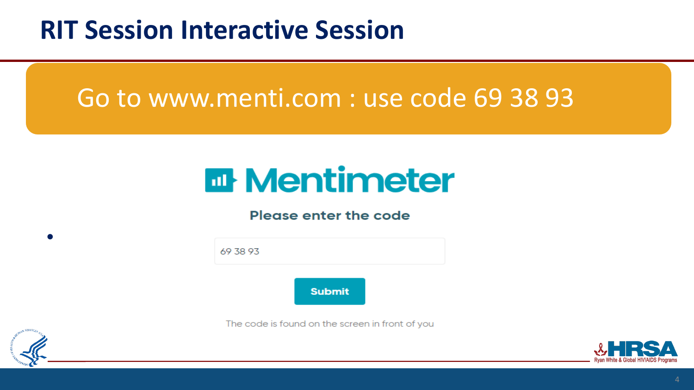# **RIT Session Interactive Session**

# Go to www.menti.com : use code 69 38 93

# **Et Mentimeter**

#### Please enter the code



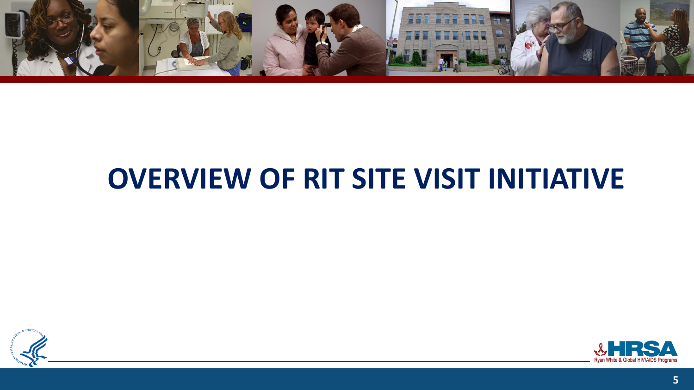

# **OVERVIEW OF RIT SITE VISIT INITIATIVE**



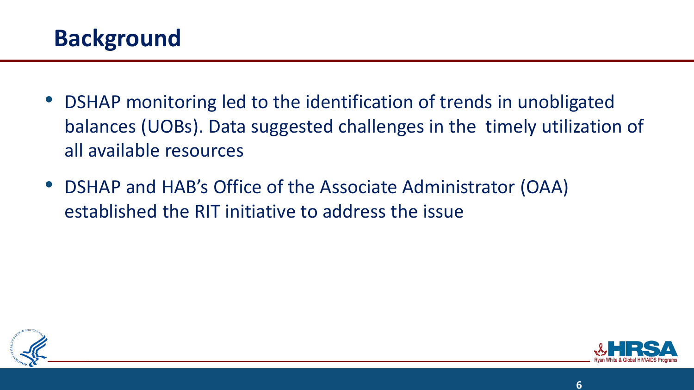

- DSHAP monitoring led to the identification of trends in unobligated balances (UOBs). Data suggested challenges in the timely utilization of all available resources
- DSHAP and HAB's Office of the Associate Administrator (OAA) established the RIT initiative to address the issue



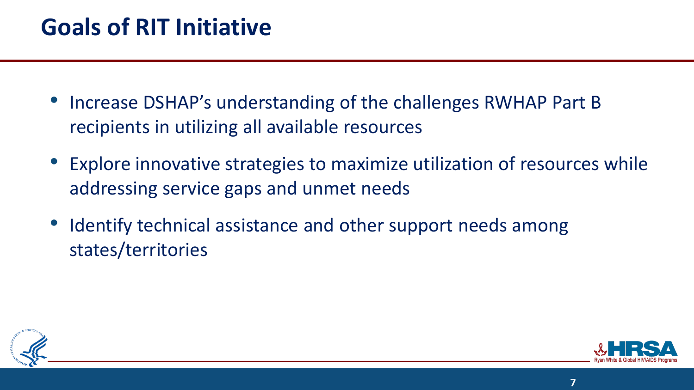### **Goals of RIT Initiative**

- Increase DSHAP's understanding of the challenges RWHAP Part B recipients in utilizing all available resources
- Explore innovative strategies to maximize utilization of resources while addressing service gaps and unmet needs
- Identify technical assistance and other support needs among states/territories



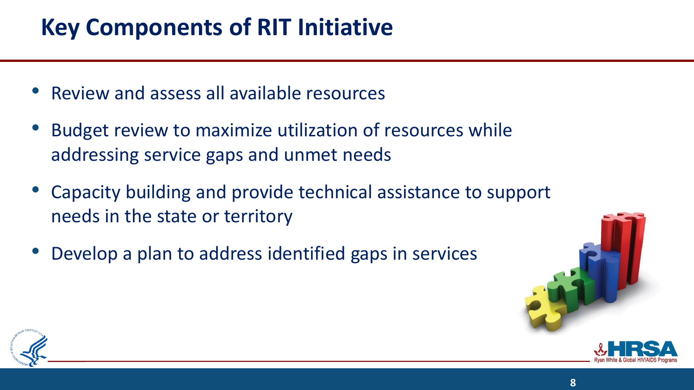# **Key Components of RIT Initiative**

- Review and assess all available resources
- Budget review to maximize utilization of resources while addressing service gaps and unmet needs
- Capacity building and provide technical assistance to support needs in the state or territory
- Develop a plan to address identified gaps in services



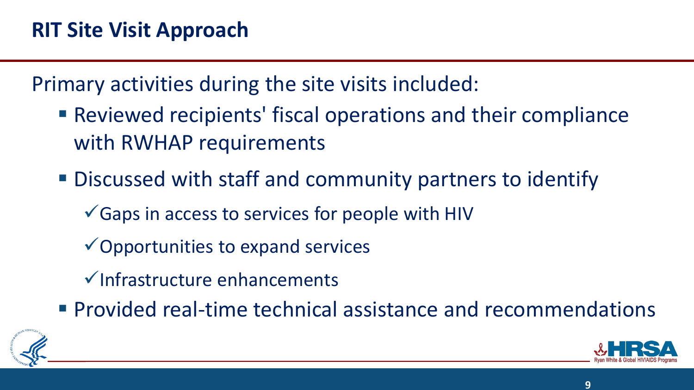Primary activities during the site visits included:

- Reviewed recipients' fiscal operations and their compliance with RWHAP requirements
- Discussed with staff and community partners to identify
	- $\checkmark$  Gaps in access to services for people with HIV
	- $\checkmark$  Opportunities to expand services
	- ✓Infrastructure enhancements
- **Provided real-time technical assistance and recommendations**

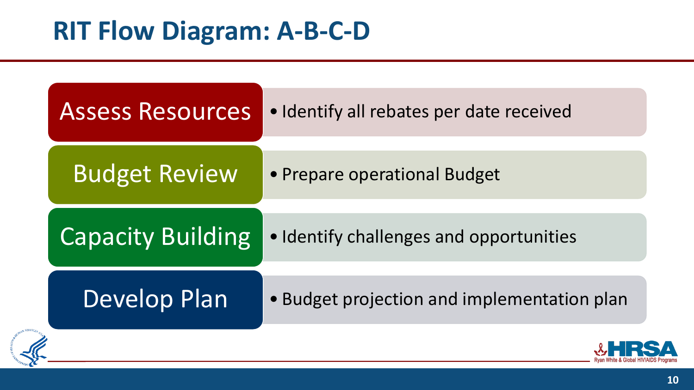| <b>Assess Resources</b>  | · Identify all rebates per date received    |  |
|--------------------------|---------------------------------------------|--|
| <b>Budget Review</b>     | • Prepare operational Budget                |  |
| <b>Capacity Building</b> | • Identify challenges and opportunities     |  |
| Develop Plan             | • Budget projection and implementation plan |  |
|                          |                                             |  |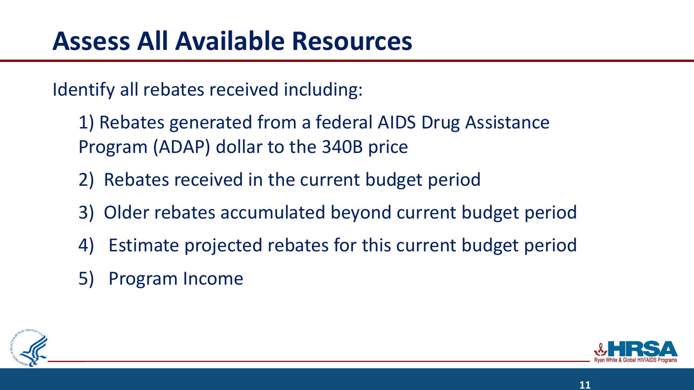Identify all rebates received including:

- 1) Rebates generated from a federal AIDS Drug Assistance Program (ADAP) dollar to the 340B price
- 2) Rebates received in the current budget period
- 3) Older rebates accumulated beyond current budget period
- 4) Estimate projected rebates for this current budget period
- 5) Program Income



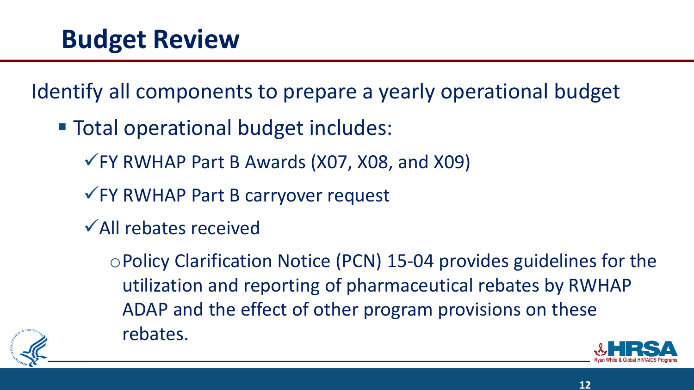Identify all components to prepare a yearly operational budget

- Total operational budget includes:
	- $\sqrt{F}$  RWHAP Part B Awards (X07, X08, and X09)
	- ✓FY RWHAP Part B carryover request
	- ✓All rebates received

oPolicy Clarification Notice (PCN) 15-04 provides guidelines for the utilization and reporting of pharmaceutical rebates by RWHAP ADAP and the effect of other program provisions on these rebates.





**12**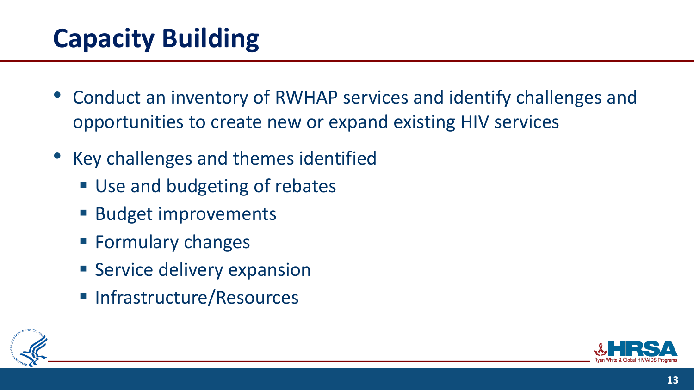# **Capacity Building**

- Conduct an inventory of RWHAP services and identify challenges and opportunities to create new or expand existing HIV services
- Key challenges and themes identified
	- Use and budgeting of rebates
	- Budget improvements
	- Formulary changes
	- **E** Service delivery expansion
	- Infrastructure/Resources



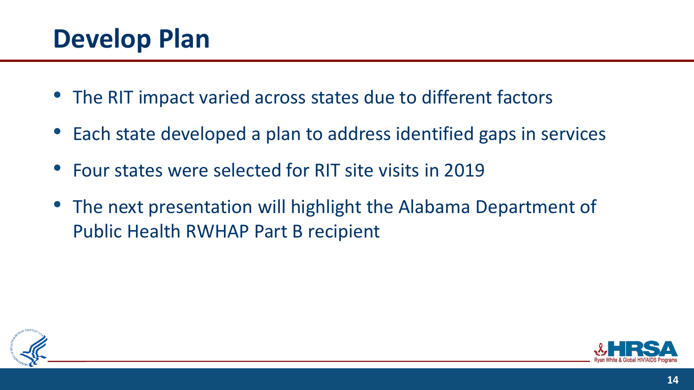# **Develop Plan**

- The RIT impact varied across states due to different factors
- Each state developed a plan to address identified gaps in services
- Four states were selected for RIT site visits in 2019
- The next presentation will highlight the Alabama Department of Public Health RWHAP Part B recipient



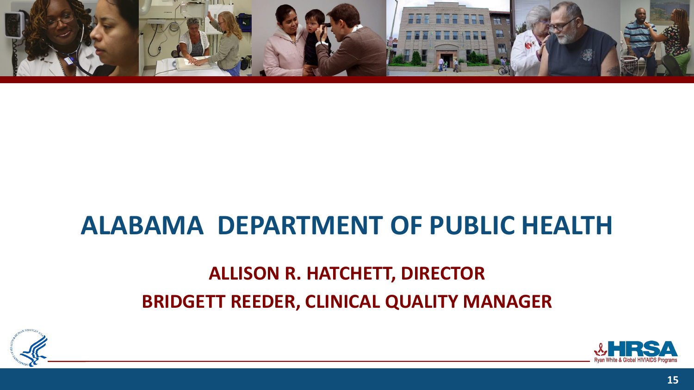

### **ALABAMA DEPARTMENT OF PUBLIC HEALTH**

### **ALLISON R. HATCHETT, DIRECTOR BRIDGETT REEDER, CLINICAL QUALITY MANAGER**



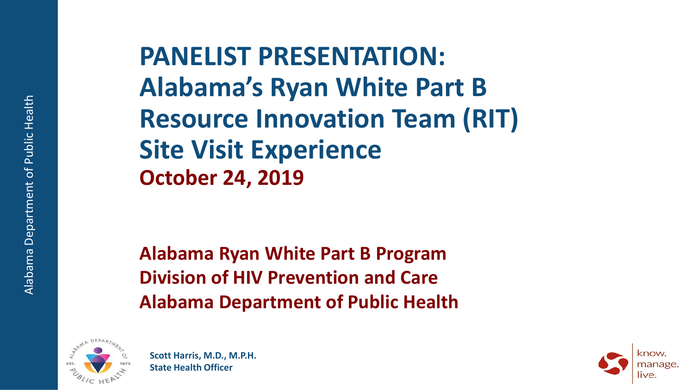**PANELIST PRESENTATION: Alabama's Ryan White Part B Resource Innovation Team (RIT) Site Visit Experience October 24, 2019**

**Alabama Ryan White Part B Program Division of HIV Prevention and Care Alabama Department of Public Health**



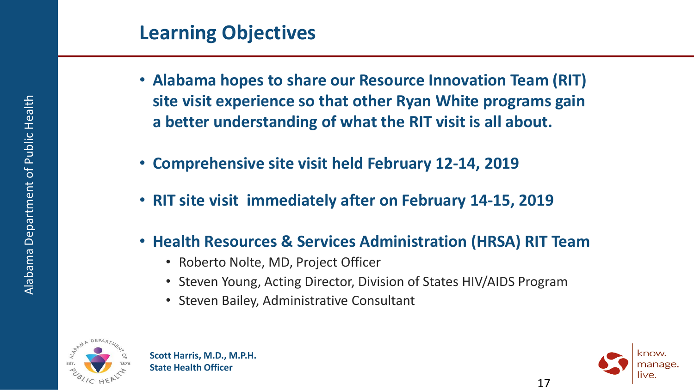- **Alabama hopes to share our Resource Innovation Team (RIT) site visit experience so that other Ryan White programs gain a better understanding of what the RIT visit is all about.**
- **Comprehensive site visit held February 12-14, 2019**
- **RIT site visit immediately after on February 14-15, 2019**
- **Health Resources & Services Administration (HRSA) RIT Team**
	- Roberto Nolte, MD, Project Officer
	- Steven Young, Acting Director, Division of States HIV/AIDS Program
	- Steven Bailey, Administrative Consultant



**Scott Harris, M.D., M.P.H. State Health Officer**



17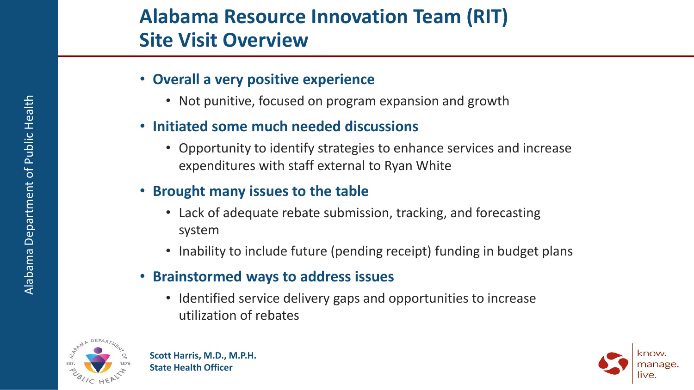#### **Alabama Resource Innovation Team (RIT) Site Visit Overview**

- **Overall a very positive experience**
	- Not punitive, focused on program expansion and growth
- **Initiated some much needed discussions**
	- Opportunity to identify strategies to enhance services and increase expenditures with staff external to Ryan White
- **Brought many issues to the table**
	- Lack of adequate rebate submission, tracking, and forecasting system
	- Inability to include future (pending receipt) funding in budget plans
- **Brainstormed ways to address issues**
	- Identified service delivery gaps and opportunities to increase utilization of rebates



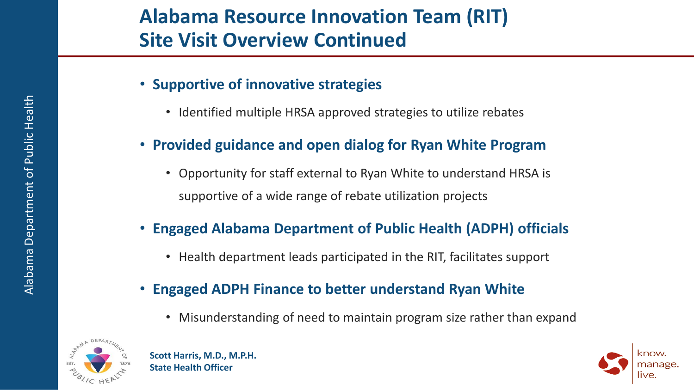- **Supportive of innovative strategies**
	- Identified multiple HRSA approved strategies to utilize rebates
- **Provided guidance and open dialog for Ryan White Program**
	- Opportunity for staff external to Ryan White to understand HRSA is supportive of a wide range of rebate utilization projects
- **Engaged Alabama Department of Public Health (ADPH) officials**
	- Health department leads participated in the RIT, facilitates support
- **Engaged ADPH Finance to better understand Ryan White**
	- Misunderstanding of need to maintain program size rather than expand



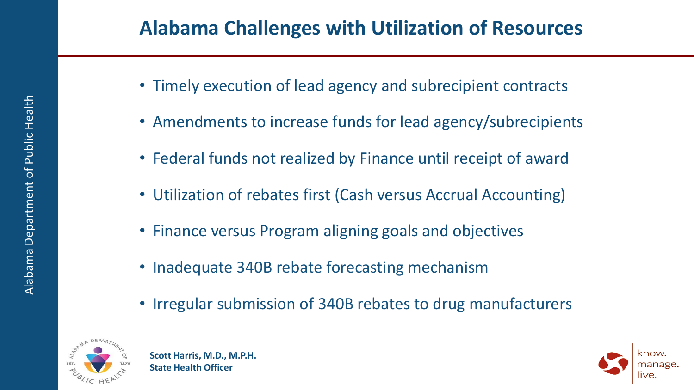- Timely execution of lead agency and subrecipient contracts
- Amendments to increase funds for lead agency/subrecipients
- Federal funds not realized by Finance until receipt of award
- Utilization of rebates first (Cash versus Accrual Accounting)
- Finance versus Program aligning goals and objectives
- Inadequate 340B rebate forecasting mechanism
- Irregular submission of 340B rebates to drug manufacturers



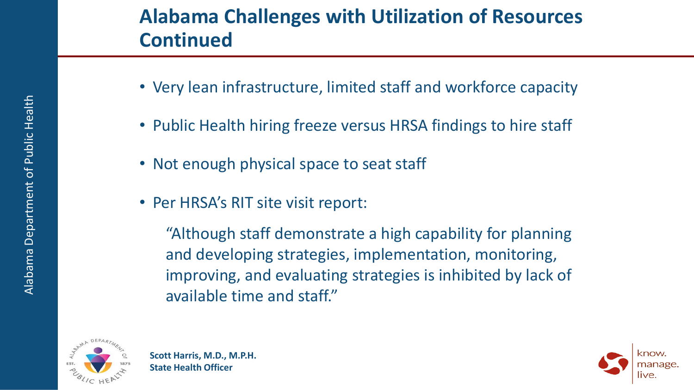### **Alabama Challenges with Utilization of Resources Continued**

- Very lean infrastructure, limited staff and workforce capacity
- Public Health hiring freeze versus HRSA findings to hire staff
- Not enough physical space to seat staff
- Per HRSA's RIT site visit report:

"Although staff demonstrate a high capability for planning and developing strategies, implementation, monitoring, improving, and evaluating strategies is inhibited by lack of available time and staff."



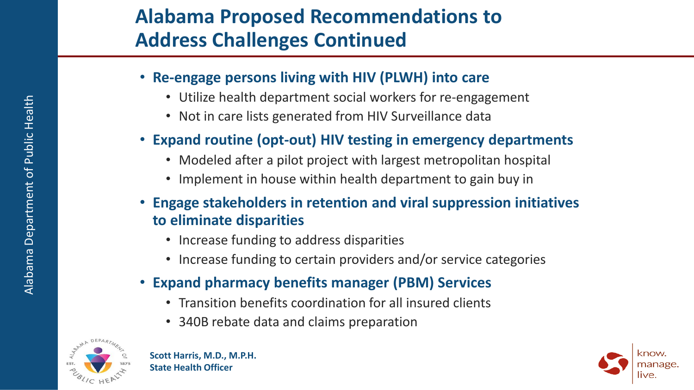### **Alabama Proposed Recommendations to Address Challenges Continued**

- **Re-engage persons living with HIV (PLWH) into care**
	- Utilize health department social workers for re-engagement
	- Not in care lists generated from HIV Surveillance data
- **Expand routine (opt-out) HIV testing in emergency departments**
	- Modeled after a pilot project with largest metropolitan hospital
	- Implement in house within health department to gain buy in
- **Engage stakeholders in retention and viral suppression initiatives to eliminate disparities**
	- Increase funding to address disparities
	- Increase funding to certain providers and/or service categories
- **Expand pharmacy benefits manager (PBM) Services**
	- Transition benefits coordination for all insured clients
	- 340B rebate data and claims preparation



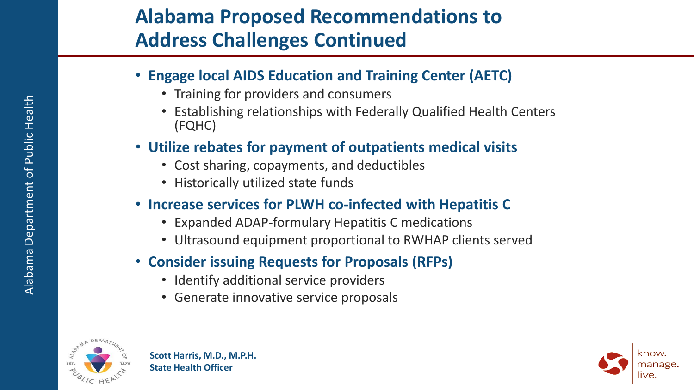### **Alabama Proposed Recommendations to Address Challenges Continued**

- **Engage local AIDS Education and Training Center (AETC)**
	- Training for providers and consumers
	- Establishing relationships with Federally Qualified Health Centers (FQHC)
- **Utilize rebates for payment of outpatients medical visits**
	- Cost sharing, copayments, and deductibles
	- Historically utilized state funds
- **Increase services for PLWH co-infected with Hepatitis C**
	- Expanded ADAP-formulary Hepatitis C medications
	- Ultrasound equipment proportional to RWHAP clients served
- **Consider issuing Requests for Proposals (RFPs)**
	- Identify additional service providers
	- Generate innovative service proposals



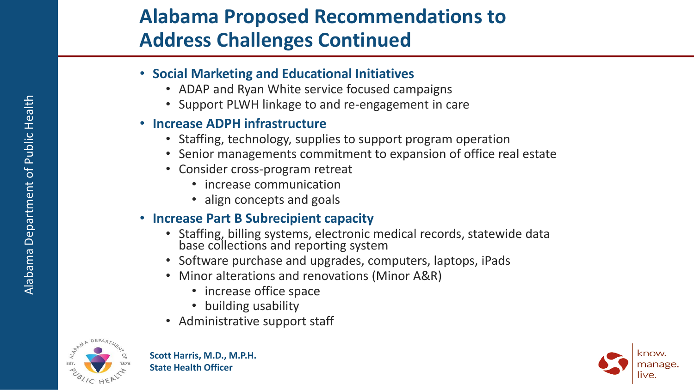### **Alabama Proposed Recommendations to Address Challenges Continued**

- **Social Marketing and Educational Initiatives**
	- ADAP and Ryan White service focused campaigns
	- Support PLWH linkage to and re-engagement in care

#### • **Increase ADPH infrastructure**

- Staffing, technology, supplies to support program operation
- Senior managements commitment to expansion of office real estate
- Consider cross-program retreat
	- increase communication
	- align concepts and goals

#### • **Increase Part B Subrecipient capacity**

- Staffing, billing systems, electronic medical records, statewide data base collections and reporting system
- Software purchase and upgrades, computers, laptops, iPads
- Minor alterations and renovations (Minor A&R)
	- increase office space
	- building usability
- Administrative support staff



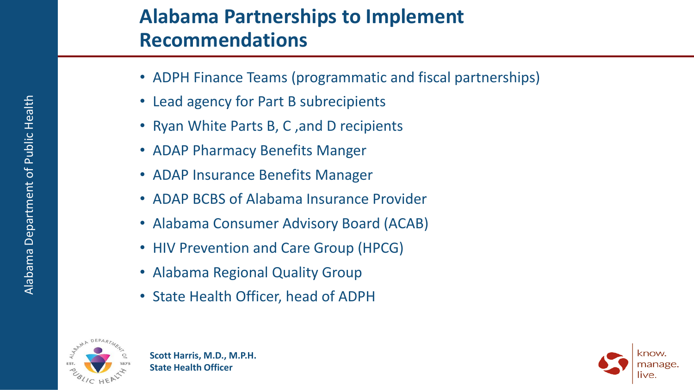#### **Alabama Partnerships to Implement Recommendations**

- ADPH Finance Teams (programmatic and fiscal partnerships)
- Lead agency for Part B subrecipients
- Ryan White Parts B, C ,and D recipients
- ADAP Pharmacy Benefits Manger
- ADAP Insurance Benefits Manager
- ADAP BCBS of Alabama Insurance Provider
- Alabama Consumer Advisory Board (ACAB)
- HIV Prevention and Care Group (HPCG)
- Alabama Regional Quality Group
- State Health Officer, head of ADPH



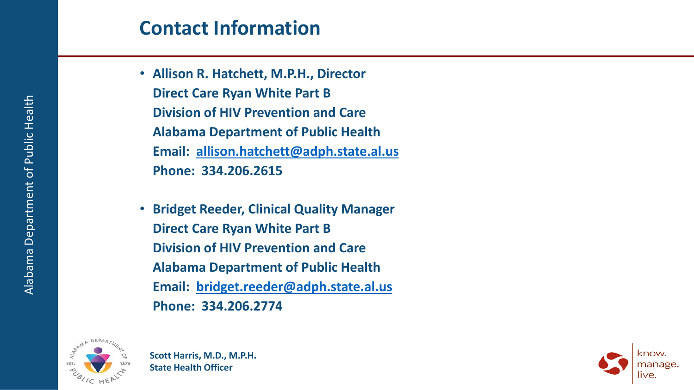#### **Contact Information**

- **Allison R. Hatchett, M.P.H., Director Direct Care Ryan White Part B Division of HIV Prevention and Care Alabama Department of Public Health Email: [allison.hatchett@adph.state.al.us](mailto:Allison.hatchett@adph.state.al.us) Phone: 334.206.2615**
- **Bridget Reeder, Clinical Quality Manager Direct Care Ryan White Part B Division of HIV Prevention and Care Alabama Department of Public Health Email: [bridget.reeder@adph.state.al.us](mailto:Allison.hatchett@adph.state.al.us) Phone: 334.206.2774**



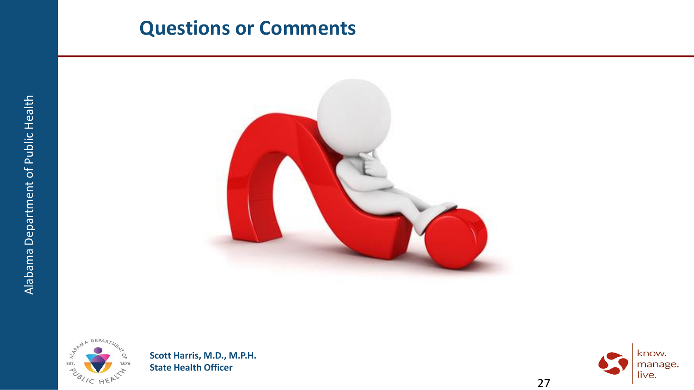#### **Questions or Comments**





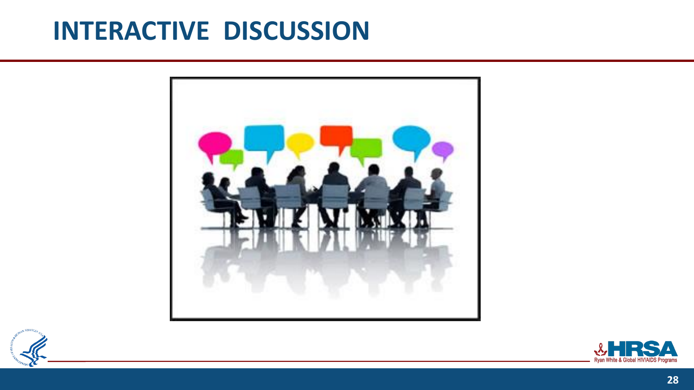# **INTERACTIVE DISCUSSION**





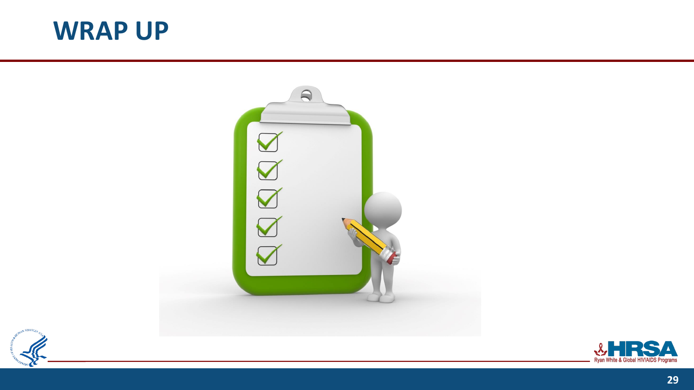